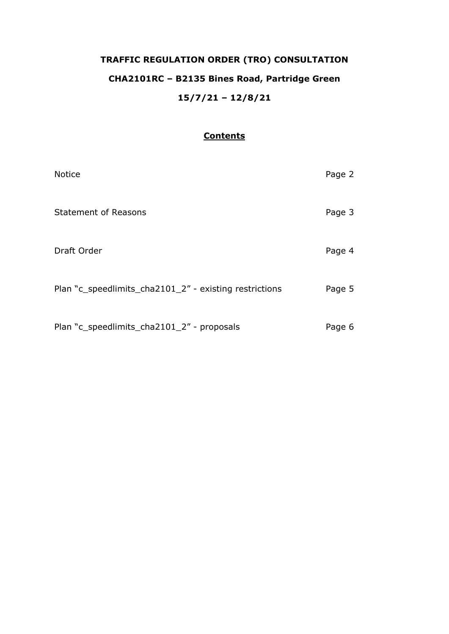# **TRAFFIC REGULATION ORDER (TRO) CONSULTATION CHA2101RC – B2135 Bines Road, Partridge Green 15/7/21 – 12/8/21**

## **Contents**

| <b>Notice</b>                                          | Page 2 |
|--------------------------------------------------------|--------|
| <b>Statement of Reasons</b>                            | Page 3 |
| Draft Order                                            | Page 4 |
| Plan "c_speedlimits_cha2101_2" - existing restrictions | Page 5 |
| Plan "c_speedlimits_cha2101_2" - proposals             | Page 6 |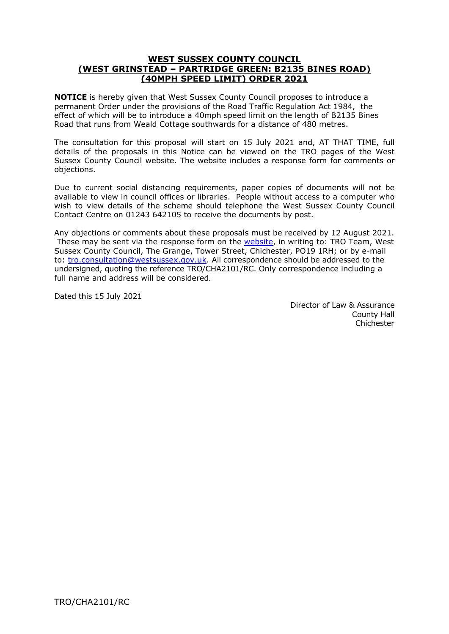## **WEST SUSSEX COUNTY COUNCIL (WEST GRINSTEAD – PARTRIDGE GREEN: B2135 BINES ROAD) (40MPH SPEED LIMIT) ORDER 2021**

**NOTICE** is hereby given that West Sussex County Council proposes to introduce a permanent Order under the provisions of the Road Traffic Regulation Act 1984, the effect of which will be to introduce a 40mph speed limit on the length of B2135 Bines Road that runs from Weald Cottage southwards for a distance of 480 metres.

The consultation for this proposal will start on 15 July 2021 and, AT THAT TIME, full details of the proposals in this Notice can be viewed on the TRO pages of the West Sussex County Council website. The website includes a response form for comments or objections.

Due to current social distancing requirements, paper copies of documents will not be available to view in council offices or libraries. People without access to a computer who wish to view details of the scheme should telephone the West Sussex County Council Contact Centre on 01243 642105 to receive the documents by post.

Any objections or comments about these proposals must be received by 12 August 2021. These may be sent via the response form on the [website,](https://www.westsussex.gov.uk/roads-and-travel/traffic-regulation-orders/) in writing to: TRO Team, West Sussex County Council, The Grange, Tower Street, Chichester, PO19 1RH; or by e-mail to: [tro.consultation@westsussex.gov.uk.](mailto:tro.consultation@westsussex.gov.uk) All correspondence should be addressed to the undersigned, quoting the reference TRO/CHA2101/RC. Only correspondence including a full name and address will be considered.

Dated this 15 July 2021

 Director of Law & Assurance County Hall Chichester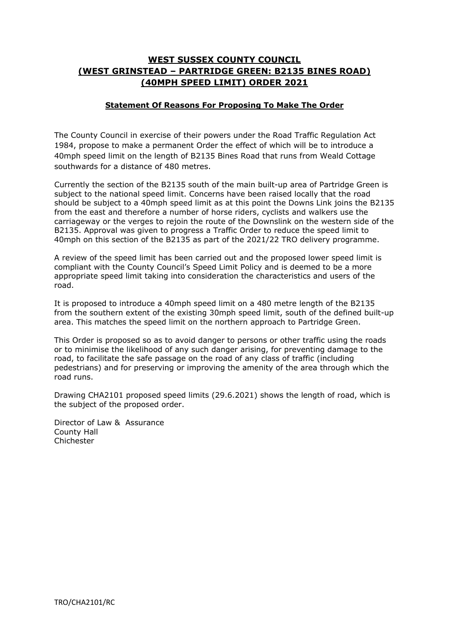# **WEST SUSSEX COUNTY COUNCIL (WEST GRINSTEAD – PARTRIDGE GREEN: B2135 BINES ROAD) (40MPH SPEED LIMIT) ORDER 2021**

## **Statement Of Reasons For Proposing To Make The Order**

The County Council in exercise of their powers under the Road Traffic Regulation Act 1984, propose to make a permanent Order the effect of which will be to introduce a 40mph speed limit on the length of B2135 Bines Road that runs from Weald Cottage southwards for a distance of 480 metres.

Currently the section of the B2135 south of the main built-up area of Partridge Green is subject to the national speed limit. Concerns have been raised locally that the road should be subject to a 40mph speed limit as at this point the Downs Link joins the B2135 from the east and therefore a number of horse riders, cyclists and walkers use the carriageway or the verges to rejoin the route of the Downslink on the western side of the B2135. Approval was given to progress a Traffic Order to reduce the speed limit to 40mph on this section of the B2135 as part of the 2021/22 TRO delivery programme.

A review of the speed limit has been carried out and the proposed lower speed limit is compliant with the County Council's Speed Limit Policy and is deemed to be a more appropriate speed limit taking into consideration the characteristics and users of the road.

It is proposed to introduce a 40mph speed limit on a 480 metre length of the B2135 from the southern extent of the existing 30mph speed limit, south of the defined built-up area. This matches the speed limit on the northern approach to Partridge Green.

This Order is proposed so as to avoid danger to persons or other traffic using the roads or to minimise the likelihood of any such danger arising, for preventing damage to the road, to facilitate the safe passage on the road of any class of traffic (including pedestrians) and for preserving or improving the amenity of the area through which the road runs.

Drawing CHA2101 proposed speed limits (29.6.2021) shows the length of road, which is the subject of the proposed order.

Director of Law & Assurance County Hall **Chichester**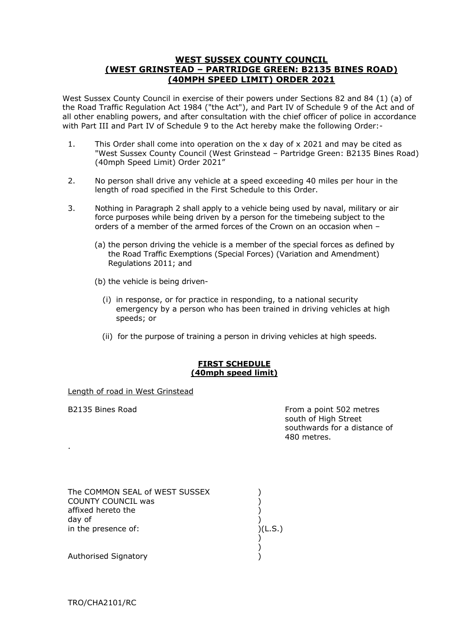## **WEST SUSSEX COUNTY COUNCIL (WEST GRINSTEAD – PARTRIDGE GREEN: B2135 BINES ROAD) (40MPH SPEED LIMIT) ORDER 2021**

West Sussex County Council in exercise of their powers under Sections 82 and 84 (1) (a) of the Road Traffic Regulation Act 1984 ("the Act"), and Part IV of Schedule 9 of the Act and of all other enabling powers, and after consultation with the chief officer of police in accordance with Part III and Part IV of Schedule 9 to the Act hereby make the following Order:-

- 1. This Order shall come into operation on the x day of x 2021 and may be cited as "West Sussex County Council (West Grinstead – Partridge Green: B2135 Bines Road) (40mph Speed Limit) Order 2021"
- 2. No person shall drive any vehicle at a speed exceeding 40 miles per hour in the length of road specified in the First Schedule to this Order.
- 3. Nothing in Paragraph 2 shall apply to a vehicle being used by naval, military or air force purposes while being driven by a person for the timebeing subject to the orders of a member of the armed forces of the Crown on an occasion when –
	- (a) the person driving the vehicle is a member of the special forces as defined by the Road Traffic Exemptions (Special Forces) (Variation and Amendment) Regulations 2011; and
	- (b) the vehicle is being driven-
		- (i) in response, or for practice in responding, to a national security emergency by a person who has been trained in driving vehicles at high speeds; or
		- (ii) for the purpose of training a person in driving vehicles at high speeds.

#### **FIRST SCHEDULE (40mph speed limit)**

 $(L.S.)$ 

Length of road in West Grinstead

.

B2135 Bines Road From a point 502 metres south of High Street southwards for a distance of 480 metres.

| The COMMON SEAL of WEST SUSSEX |  |
|--------------------------------|--|
| <b>COUNTY COUNCIL was</b>      |  |
| affixed hereto the             |  |
| day of                         |  |
| in the presence of:            |  |
|                                |  |
|                                |  |

Authorised Signatory )

TRO/CHA2101/RC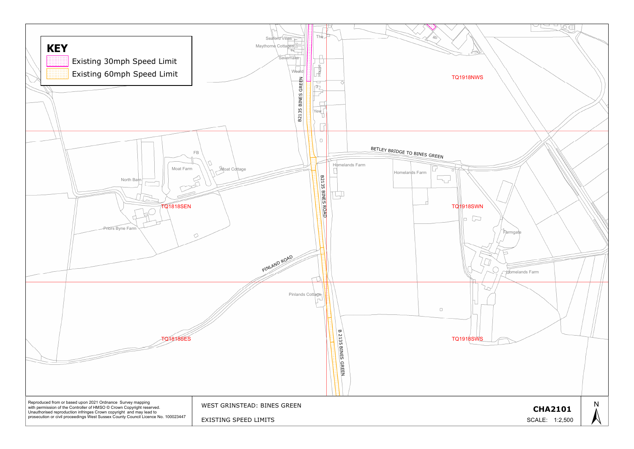